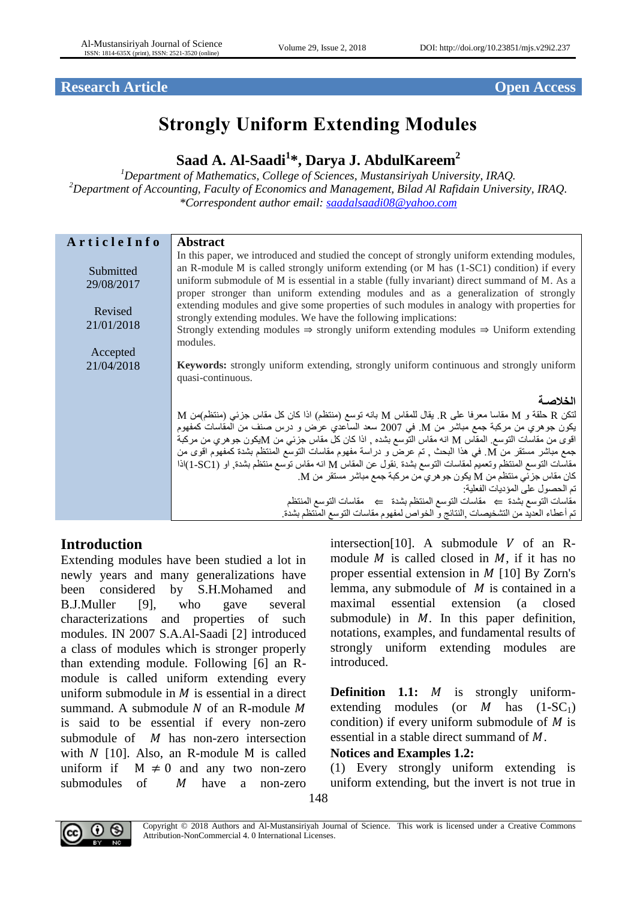# **Research Article Open Access**

# **Strongly Uniform Extending Modules**

# **Saad A. Al-Saadi<sup>1</sup> \*, Darya J. AbdulKareem<sup>2</sup>**

*<sup>1</sup>Department of Mathematics, College of Sciences, Mustansiriyah University, IRAQ. <sup>2</sup>Department of Accounting, Faculty of Economics and Management, Bilad Al Rafidain University, IRAQ. \*Correspondent author email: [saadalsaadi08@yahoo.com](mailto:saadalsaadi08@yahoo.com)*

| ArticleInfo                                                  | <b>Abstract</b>                                                                                                                                                                                                                                                                                                                                                                                                                                                                                                                                                                                                                                                         |
|--------------------------------------------------------------|-------------------------------------------------------------------------------------------------------------------------------------------------------------------------------------------------------------------------------------------------------------------------------------------------------------------------------------------------------------------------------------------------------------------------------------------------------------------------------------------------------------------------------------------------------------------------------------------------------------------------------------------------------------------------|
| Submitted<br>29/08/2017<br>Revised<br>21/01/2018<br>Accepted | In this paper, we introduced and studied the concept of strongly uniform extending modules,<br>an R-module M is called strongly uniform extending (or M has (1-SC1) condition) if every<br>uniform submodule of M is essential in a stable (fully invariant) direct summand of M. As a<br>proper stronger than uniform extending modules and as a generalization of strongly<br>extending modules and give some properties of such modules in analogy with properties for<br>strongly extending modules. We have the following implications:<br>Strongly extending modules $\Rightarrow$ strongly uniform extending modules $\Rightarrow$ Uniform extending<br>modules. |
| 21/04/2018                                                   | <b>Keywords:</b> strongly uniform extending, strongly uniform continuous and strongly uniform                                                                                                                                                                                                                                                                                                                                                                                                                                                                                                                                                                           |
|                                                              | quasi-continuous.                                                                                                                                                                                                                                                                                                                                                                                                                                                                                                                                                                                                                                                       |
|                                                              | الخلاصة                                                                                                                                                                                                                                                                                                                                                                                                                                                                                                                                                                                                                                                                 |
|                                                              | $\rm M$ لَنكن $\rm R$ حلقة و $\rm M$ مقاسا معرفا على $\rm R$ بقال للمقاس $\rm M$ بانه توسع (منتظم) اذا كان كل مقاس جزئي (منتظم)من                                                                                                                                                                                                                                                                                                                                                                                                                                                                                                                                       |
|                                                              | يكون جوهري من مركبة جمع مباشر من M في 2007 سعد الساعدي عرض و درس صنف من المقاسات كمفهوم<br>اقوى من مقاسات التوسع ِ المقاس M انه مقاس التوسع بشده ¸ اذا كان كل مقاس جزئـي من Mيكون جوهري من مركبة                                                                                                                                                                                                                                                                                                                                                                                                                                                                        |
|                                                              | جمع مباشر مستقر من M. في هذا البحث , تم عرض و دراسة مفهوم مقاسات التوسع المنتظم بشدة كمفهوم اقوى من                                                                                                                                                                                                                                                                                                                                                                                                                                                                                                                                                                     |
|                                                              | مقاسات التوسع المنتظم وتعميم لمقاسات التوسع بشدة نقول عن المقاس M انه مقاس توسع منتظم بشدة, او (SC1-1)اذا                                                                                                                                                                                                                                                                                                                                                                                                                                                                                                                                                               |
|                                                              | كان مقاس جزئي منتظم من M يكون جو هري من مركبة جمع مباشر مستقر من M.<br>تم الحصول على المؤديات الفعلية:                                                                                                                                                                                                                                                                                                                                                                                                                                                                                                                                                                  |
|                                                              | مقاسات التوسع بشدة ← مقاسات التوسع المنتظم بشدة ← مقاسات التوسع المنتظم                                                                                                                                                                                                                                                                                                                                                                                                                                                                                                                                                                                                 |
|                                                              | تم أعطاء العديد من التشخيصات ¸النتائج و الخواص لمفهوم مقاسات التوسع المنتظم بشدة.                                                                                                                                                                                                                                                                                                                                                                                                                                                                                                                                                                                       |

# **Introduction**

Extending modules have been studied a lot in newly years and many generalizations have been considered by S.H.Mohamed and B.J.Muller [9], who gave several characterizations and properties of such modules. IN 2007 S.A.Al-Saadi [2] introduced a class of modules which is stronger properly than extending module. Following [6] an Rmodule is called uniform extending every uniform submodule in  $M$  is essential in a direct summand. A submodule  $N$  of an R-module  $M$ is said to be essential if every non-zero submodule of  $M$  has non-zero intersection with  $N$  [10]. Also, an R-module M is called uniform if  $M \neq 0$  and any two non-zero submodules of  $M$  have a non-zero

intersection[10]. A submodule  $V$  of an Rmodule  $M$  is called closed in  $M$ , if it has no proper essential extension in  $M$  [10] By Zorn's lemma, any submodule of  $M$  is contained in a maximal essential extension (a closed submodule) in  $M$ . In this paper definition, notations, examples, and fundamental results of strongly uniform extending modules are introduced.

**Definition 1.1:** *M* is strongly uniformextending modules (or  $M$  has  $(1-SC_1)$ ) condition) if every uniform submodule of  $M$  is essential in a stable direct summand of  $M$ .

#### **Notices and Examples 1.2:**

(1) Every strongly uniform extending is uniform extending, but the invert is not true in



Copyright © 2018 Authors and Al-Mustansiriyah Journal of Science. This work is licensed under a [Creative Commons](http://creativecommons.org/licenses/by-nc/4.0/)  [Attribution-NonCommercial 4. 0 International Licenses.](http://creativecommons.org/licenses/by-nc/4.0/)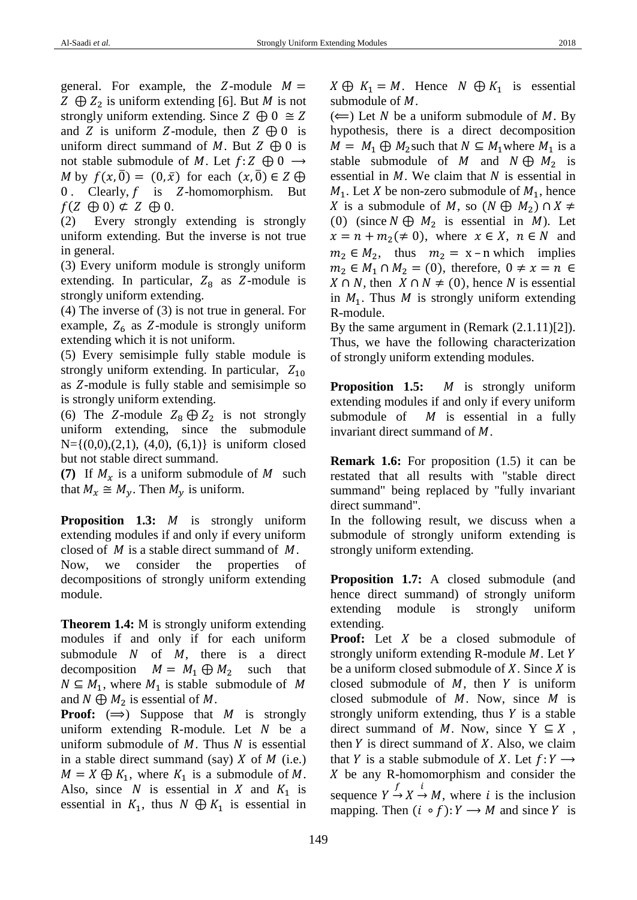general. For example, the  $Z$ -module  $M =$  $Z \oplus Z_2$  is uniform extending [6]. But M is not strongly uniform extending. Since  $Z \oplus 0 \cong Z$ and Z is uniform Z-module, then  $Z \oplus 0$  is uniform direct summand of M. But  $Z \oplus 0$  is not stable submodule of M. Let  $f: Z \oplus 0 \longrightarrow$ M by  $f(x, 0) = (0, \bar{x})$  for each  $(x, 0) \in Z \oplus$ 0. Clearly,  $f$  is  $Z$ -homomorphism. But  $f(Z \oplus 0) \not\subset Z \oplus 0$ .

(2) Every strongly extending is strongly uniform extending. But the inverse is not true in general.

(3) Every uniform module is strongly uniform extending. In particular,  $Z_8$  as Z-module is strongly uniform extending.

(4) The inverse of (3) is not true in general. For example,  $Z_6$  as Z-module is strongly uniform extending which it is not uniform.

(5) Every semisimple fully stable module is strongly uniform extending. In particular,  $Z_{10}$ as  $Z$ -module is fully stable and semisimple so is strongly uniform extending.

(6) The Z-module  $Z_8 \oplus Z_2$  is not strongly uniform extending, since the submodule  $N=\{(0,0),(2,1),(4,0),(6,1)\}\$ is uniform closed but not stable direct summand.

**(7)** If  $M_x$  is a uniform submodule of M such that  $M_x \cong M_y$ . Then  $M_y$  is uniform.

**Proposition 1.3:** *M* is strongly uniform extending modules if and only if every uniform closed of  $M$  is a stable direct summand of  $M$ . Now, we consider the properties of decompositions of strongly uniform extending module.

**Theorem 1.4:** M is strongly uniform extending modules if and only if for each uniform submodule  $N$  of  $M$ , there is a direct decomposition  $M = M_1 \oplus M_2$  such that  $N \subseteq M_1$ , where  $M_1$  is stable submodule of M and  $N \bigoplus M_2$  is essential of M.

**Proof:**  $(\Rightarrow)$  Suppose that M is strongly uniform extending R-module. Let  $N$  be a uniform submodule of  $M$ . Thus  $N$  is essential in a stable direct summand (say)  $X$  of  $M$  (i.e.)  $M = X \bigoplus K_1$ , where  $K_1$  is a submodule of M. Also, since N is essential in X and  $K_1$  is essential in  $K_1$ , thus  $N \oplus K_1$  is essential in  $X \oplus K_1 = M$ . Hence  $N \oplus K_1$  is essential submodule of  $M$ .

 $(\Leftarrow)$  Let N be a uniform submodule of M. By hypothesis, there is a direct decomposition  $M = M_1 \oplus M_2$  such that  $N \subseteq M_1$  where  $M_1$  is a stable submodule of M and  $N \oplus M_2$  is essential in  $M$ . We claim that  $N$  is essential in  $M_1$ . Let X be non-zero submodule of  $M_1$ , hence X is a submodule of M, so  $(N \oplus M_2) \cap X \neq$ (0) (since  $N \oplus M_2$  is essential in M). Let  $x = n + m_2(\neq 0)$ , where  $x \in X$ ,  $n \in N$  and  $m_2 \in M_2$ , thus  $m_2 = x - n$  which implies  $m_2 \in M_1 \cap M_2 = (0)$ , therefore,  $0 \neq x = n \in$  $X \cap N$ , then  $X \cap N \neq (0)$ , hence N is essential in  $M_1$ . Thus M is strongly uniform extending R-module.

By the same argument in (Remark (2.1.11)[2]). Thus, we have the following characterization of strongly uniform extending modules.

**Proposition 1.5:** *M* is strongly uniform extending modules if and only if every uniform submodule of  $M$  is essential in a fully invariant direct summand of  $M$ .

**Remark 1.6:** For proposition (1.5) it can be restated that all results with "stable direct summand" being replaced by "fully invariant direct summand".

In the following result, we discuss when a submodule of strongly uniform extending is strongly uniform extending.

**Proposition 1.7:** A closed submodule (and hence direct summand) of strongly uniform extending module is strongly uniform extending.

**Proof:** Let X be a closed submodule of strongly uniform extending R-module  $M$ . Let Y be a uniform closed submodule of  $X$ . Since  $X$  is closed submodule of  $M$ , then  $Y$  is uniform closed submodule of  $M$ . Now, since  $M$  is strongly uniform extending, thus  $Y$  is a stable direct summand of M. Now, since  $Y \subseteq X$ , then  $Y$  is direct summand of  $X$ . Also, we claim that Y is a stable submodule of X. Let  $f: Y \longrightarrow$  $X$  be any R-homomorphism and consider the sequence  $Y \xrightarrow{f} X \xrightarrow{i} M$ , where *i* is the inclusion mapping. Then  $(i \circ f): Y \to M$  and since Y is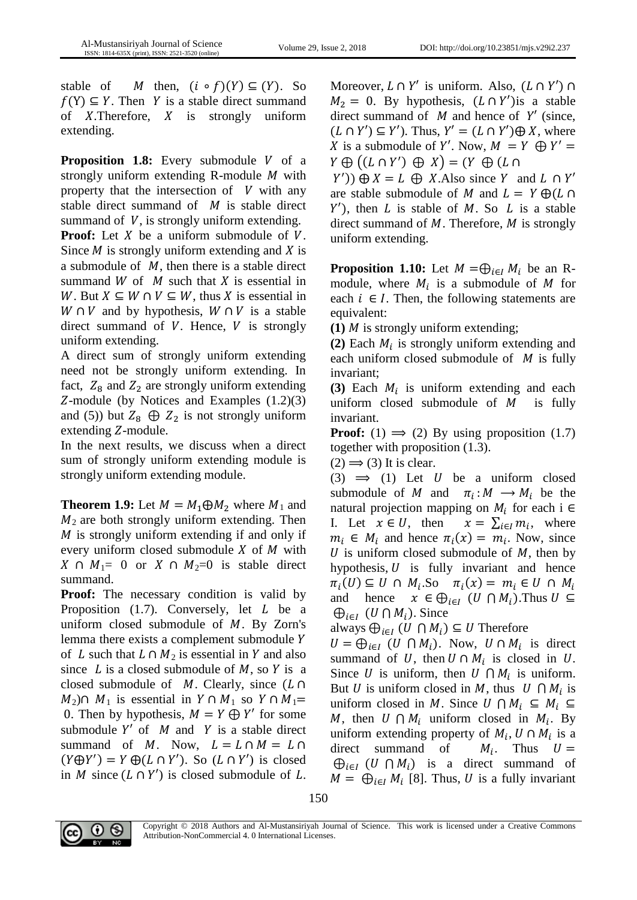stable of *M* then,  $(i \circ f)(Y) \subseteq (Y)$ . So  $f(Y) \subseteq Y$ . Then Y is a stable direct summand of  $X$ . Therefore,  $X$  is strongly uniform extending.

**Proposition 1.8:** Every submodule V of a strongly uniform extending R-module  $M$  with property that the intersection of  $V$  with any stable direct summand of  $M$  is stable direct summand of  $V$ , is strongly uniform extending. **Proof:** Let  $X$  be a uniform submodule of  $V$ . Since  $M$  is strongly uniform extending and  $X$  is a submodule of  $M$ , then there is a stable direct summand  $W$  of  $M$  such that  $X$  is essential in W. But  $X \subseteq W \cap V \subseteq W$ , thus X is essential in  $W \cap V$  and by hypothesis,  $W \cap V$  is a stable direct summand of  $V$ . Hence,  $V$  is strongly uniform extending.

A direct sum of strongly uniform extending need not be strongly uniform extending. In fact,  $Z_8$  and  $Z_2$  are strongly uniform extending  $Z$ -module (by Notices and Examples  $(1.2)(3)$ and (5)) but  $Z_8 \oplus Z_2$  is not strongly uniform  $extending Z-module.$ 

In the next results, we discuss when a direct sum of strongly uniform extending module is strongly uniform extending module.

**Theorem 1.9:** Let  $M = M_1 \oplus M_2$  where  $M_1$  and  $M_2$  are both strongly uniform extending. Then  $M$  is strongly uniform extending if and only if every uniform closed submodule  $X$  of  $M$  with  $X \cap M_1$ = 0 or  $X \cap M_2$ =0 is stable direct summand.

**Proof:** The necessary condition is valid by Proposition  $(1.7)$ . Conversely, let  $L$  be a uniform closed submodule of  $M$ . By Zorn's lemma there exists a complement submodule of L such that  $L \cap M_2$  is essential in Y and also since  $L$  is a closed submodule of  $M$ , so  $Y$  is a closed submodule of  $M$ . Clearly, since  $(L \cap$  $M_2$ ) $\cap$   $M_1$  is essential in  $Y \cap M_1$  so  $Y \cap M_1 =$ 0. Then by hypothesis,  $M = Y \bigoplus Y'$  for some submodule  $Y'$  of  $M$  and  $Y$  is a stable direct summand of M. Now,  $L = L \cap M = L \cap$  $(Y \oplus Y') = Y \oplus (L \cap Y')$ . So  $(L \cap Y')$  is closed in *M* since  $(L \cap Y')$  is closed submodule of L.

Moreover,  $L \cap Y'$  is uniform. Also,  $(L \cap Y') \cap$  $M_2 = 0$ . By hypothesis,  $(L \cap Y')$ is a stable direct summand of  $M$  and hence of  $Y'$  (since,  $(L \cap Y') \subseteq Y'$ ). Thus,  $Y' = (L \cap Y') \oplus X$ , where X is a submodule of Y'. Now,  $M = Y \oplus Y' =$  $Y \oplus ((L \cap Y') \oplus X) = (Y \oplus (L \cap Y'))$ 

 $(Y')$ )  $\oplus X = L \oplus X$ . Also since Y and  $L \cap Y'$ are stable submodule of M and  $L = Y \bigoplus (L \cap$  $Y'$ ), then L is stable of M. So L is a stable direct summand of  $M$ . Therefore,  $M$  is strongly uniform extending.

**Proposition 1.10:** Let  $M = \bigoplus_{i \in I} M_i$  be an Rmodule, where  $M_i$  is a submodule of M for each  $i \in I$ . Then, the following statements are equivalent:

**(1)**  $M$  is strongly uniform extending;

(2) Each  $M_i$  is strongly uniform extending and each uniform closed submodule of  $M$  is fully invariant;

(3) Each  $M_i$  is uniform extending and each uniform closed submodule of  $M$  is fully invariant.

**Proof:** (1)  $\Rightarrow$  (2) By using proposition (1.7) together with proposition (1.3).

 $(2) \implies (3)$  It is clear.

(3)  $\implies$  (1) Let U be a uniform closed submodule of M and  $\pi_i : M \longrightarrow M_i$  be the natural projection mapping on  $M_i$  for each i  $\in$ I. Let  $x \in U$ , then  $x = \sum_{i \in I} m_i$ , where  $m_i \in M_i$  and hence  $\pi_i(x) = m_i$ . Now, since U is uniform closed submodule of  $M$ , then by hypothesis,  $U$  is fully invariant and hence  $\pi_i(U) \subseteq U \cap M_i$ .So  $\pi_i(x) = m_i \in U \cap M_i$ and hence  $x \in \bigoplus_{i \in I} (U \cap M_i)$ . Thus  $U \subseteq$  $\bigoplus_{i\in I} (U \bigcap M_i)$ . Since

always  $\bigoplus_{i \in I} (U \cap M_i) \subseteq U$  Therefore

 $U = \bigoplus_{i \in I} (U \cap M_i)$ . Now,  $U \cap M_i$  is direct summand of U, then  $U \cap M_i$  is closed in U. Since U is uniform, then  $U \cap M_i$  is uniform. But U is uniform closed in M, thus  $U \cap M_i$  is uniform closed in M. Since  $U \cap M_i \subseteq M_i$ M, then  $U \cap M_i$  uniform closed in  $M_i$ . By uniform extending property of  $M_i$ ,  $U \cap M_i$  is a direct summand of  $M_i$ . Thus  $U =$  $\bigoplus_{i\in I} (U \cap M_i)$  is a direct summand of  $M = \bigoplus_{i \in I} M_i$  [8]. Thus, U is a fully invariant

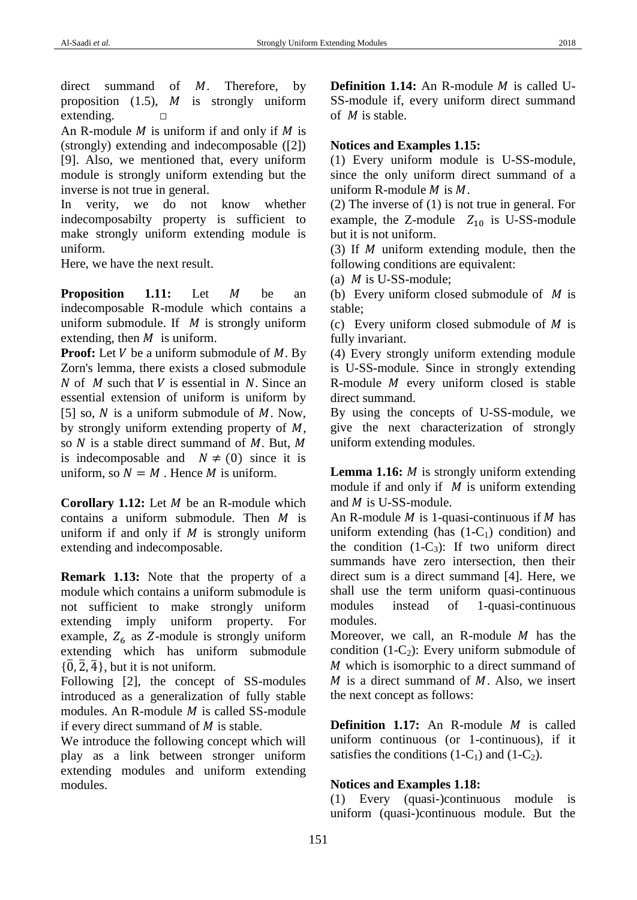direct summand of  $M$ . Therefore, by proposition  $(1.5)$ , *M* is strongly uniform extending.  $□$ 

An R-module  $M$  is uniform if and only if  $M$  is (strongly) extending and indecomposable ([2]) [9]. Also, we mentioned that, every uniform module is strongly uniform extending but the inverse is not true in general.

In verity, we do not know whether indecomposabilty property is sufficient to make strongly uniform extending module is uniform.

Here, we have the next result.

**Proposition 1.11:** Let M be an indecomposable R-module which contains a uniform submodule. If  $M$  is strongly uniform extending, then  $M$  is uniform.

**Proof:** Let  $V$  be a uniform submodule of  $M$ . By Zorn's lemma, there exists a closed submodule N of M such that V is essential in N. Since an essential extension of uniform is uniform by [5] so,  $N$  is a uniform submodule of  $M$ . Now, by strongly uniform extending property of  $M$ , so  $N$  is a stable direct summand of  $M$ . But,  $M$ is indecomposable and  $N \neq (0)$  since it is uniform, so  $N = M$ . Hence M is uniform.

**Corollary 1.12:** Let *M* be an R-module which contains a uniform submodule. Then  $M$  is uniform if and only if  $M$  is strongly uniform extending and indecomposable.

**Remark 1.13:** Note that the property of a module which contains a uniform submodule is not sufficient to make strongly uniform extending imply uniform property. For example,  $Z_6$  as Z-module is strongly uniform extending which has uniform submodule  $\{\overline{0}, \overline{2}, \overline{4}\}$ , but it is not uniform.

Following [2], the concept of SS-modules introduced as a generalization of fully stable modules. An R-module  $M$  is called SS-module if every direct summand of  $M$  is stable.

We introduce the following concept which will play as a link between stronger uniform extending modules and uniform extending modules.

**Definition 1.14:** An R-module *M* is called U-SS-module if, every uniform direct summand of  $M$  is stable.

# **Notices and Examples 1.15:**

(1) Every uniform module is U-SS-module, since the only uniform direct summand of a uniform R-module  $M$  is  $M$ .

(2) The inverse of (1) is not true in general. For example, the Z-module  $Z_{10}$  is U-SS-module but it is not uniform.

(3) If  $M$  uniform extending module, then the following conditions are equivalent:

(a)  $M$  is U-SS-module;

(b) Every uniform closed submodule of  $M$  is stable;

(c) Every uniform closed submodule of  $M$  is fully invariant.

(4) Every strongly uniform extending module is U-SS-module. Since in strongly extending R-module  $M$  every uniform closed is stable direct summand.

By using the concepts of U-SS-module, we give the next characterization of strongly uniform extending modules.

**Lemma 1.16:** *M* is strongly uniform extending module if and only if  $M$  is uniform extending and  $M$  is U-SS-module.

An R-module  $M$  is 1-quasi-continuous if  $M$  has uniform extending (has  $(1-C_1)$ ) condition) and the condition  $(1-C_3)$ : If two uniform direct summands have zero intersection, then their direct sum is a direct summand [4]. Here, we shall use the term uniform quasi-continuous modules instead of 1-quasi-continuous modules.

Moreover, we call, an R-module  $M$  has the condition  $(1-C_2)$ : Every uniform submodule of  $M$  which is isomorphic to a direct summand of  $M$  is a direct summand of  $M$ . Also, we insert the next concept as follows:

**Definition 1.17:** An R-module *M* is called uniform continuous (or 1-continuous), if it satisfies the conditions  $(1-C_1)$  and  $(1-C_2)$ .

# **Notices and Examples 1.18:**

(1) Every (quasi-)continuous module is uniform (quasi-)continuous module. But the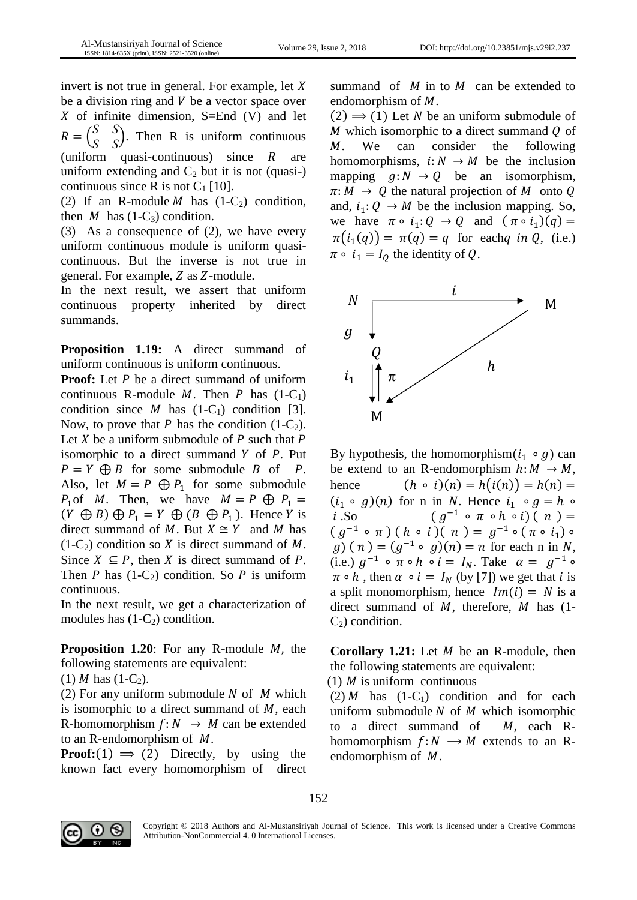invert is not true in general. For example, let  $X$ be a division ring and  $V$  be a vector space over X of infinite dimension,  $S=End(V)$  and let  $R = \begin{pmatrix} S \\ S \end{pmatrix}$  $S$   $S$  $\begin{pmatrix} 5 & 3 \\ S & S \end{pmatrix}$ . Then R is uniform continuous (uniform quasi-continuous) since  $R$  are uniform extending and  $C_2$  but it is not (quasi-) continuous since R is not  $C_1$  [10].

(2) If an R-module  $M$  has  $(1-C_2)$  condition, then M has  $(1-C_3)$  condition.

(3) As a consequence of (2), we have every uniform continuous module is uniform quasicontinuous. But the inverse is not true in general. For example,  $Z$  as  $Z$ -module.

In the next result, we assert that uniform continuous property inherited by direct summands.

**Proposition 1.19:** A direct summand of uniform continuous is uniform continuous.

**Proof:** Let P be a direct summand of uniform continuous R-module  $M$ . Then  $P$  has  $(1-C_1)$ condition since *M* has  $(1-C_1)$  condition [3]. Now, to prove that P has the condition  $(1-C_2)$ . Let  $X$  be a uniform submodule of  $P$  such that  $P$ isomorphic to a direct summand  $Y$  of  $P$ . Put  $P = Y \oplus B$  for some submodule B of P. Also, let  $M = P \oplus P_1$  for some submodule  $P_1$ of *M*. Then, we have  $M = P \oplus P_1 =$  $(Y \oplus B) \oplus P_1 = Y \oplus (B \oplus P_1)$ . Hence  $\overline{Y}$  is direct summand of M. But  $X \cong Y$  and M has  $(1-C_2)$  condition so X is direct summand of M. Since  $X \subseteq P$ , then X is direct summand of P. Then P has  $(1-C_2)$  condition. So P is uniform continuous.

In the next result, we get a characterization of modules has  $(1-C_2)$  condition.

**Proposition 1.20:** For any R-module  $M$ , the following statements are equivalent:

(1) *M* has  $(1-C_2)$ .

(2) For any uniform submodule  $N$  of  $M$  which is isomorphic to a direct summand of  $M$ , each R-homomorphism  $f: N \rightarrow M$  can be extended to an R-endomorphism of  $M$ .

**Proof:**(1)  $\Rightarrow$  (2) Directly, by using the known fact every homomorphism of direct summand of  $M$  in to  $M$  can be extended to endomorphism of  $M$ .

 $(2) \implies (1)$  Let N be an uniform submodule of M which isomorphic to a direct summand  $Q$  of M. We can consider the following homomorphisms,  $i: N \rightarrow M$  be the inclusion mapping  $q: N \to Q$  be an isomorphism,  $\pi: M \to Q$  the natural projection of M onto Q and,  $i_1: Q \rightarrow M$  be the inclusion mapping. So, we have  $\pi \circ i_1: Q \to Q$  and  $(\pi \circ i_1)(q) =$  $\pi(i_1(q)) = \pi(q) = q$  for each q in Q, (i.e.)  $\pi \circ i_1 = I_0$  the identity of Q.



By hypothesis, the homomorphism $(i_1 \circ g)$  can be extend to an R-endomorphism  $h: M \rightarrow M$ , hence  $(h \circ i)(n) = h(i(n)) = h(n) =$  $(i_1 \circ g)(n)$  for n in N. Hence  $i_1 \circ g = h \circ$  $i$ .So  $^{-1}$   $\circ$   $\pi$   $\circ$   $h$   $\circ$   $i$ )  $($   $n$   $)$   $=$  $(g^{-1} \circ \pi)(h \circ i)(n) = g^{-1} \circ (\pi \circ i_1) \circ$  $g(x)$  (n) =  $(g^{-1} \circ g)(n) = n$  for each n in N, (i.e.)  $g^{-1} \circ \pi \circ h \circ i = I_N$ . Take  $\alpha = g^{-1} \circ$  $\pi \circ h$ , then  $\alpha \circ i = I_N$  (by [7]) we get that *i* is a split monomorphism, hence  $Im(i) = N$  is a direct summand of  $M$ , therefore,  $M$  has (1- $C_2$ ) condition.

**Corollary 1.21:** Let *M* be an R-module, then the following statements are equivalent:

(1)  $M$  is uniform continuous

 $(2)$  *M* has  $(1-C_1)$  condition and for each uniform submodule  $N$  of  $M$  which isomorphic to a direct summand of  $M$ , each Rhomomorphism  $f: N \longrightarrow M$  extends to an Rendomorphism of  $M$ .





Copyright © 2018 Authors and Al-Mustansiriyah Journal of Science. This work is licensed under a [Creative Commons](http://creativecommons.org/licenses/by-nc/4.0/)  [Attribution-NonCommercial 4. 0 International Licenses.](http://creativecommons.org/licenses/by-nc/4.0/)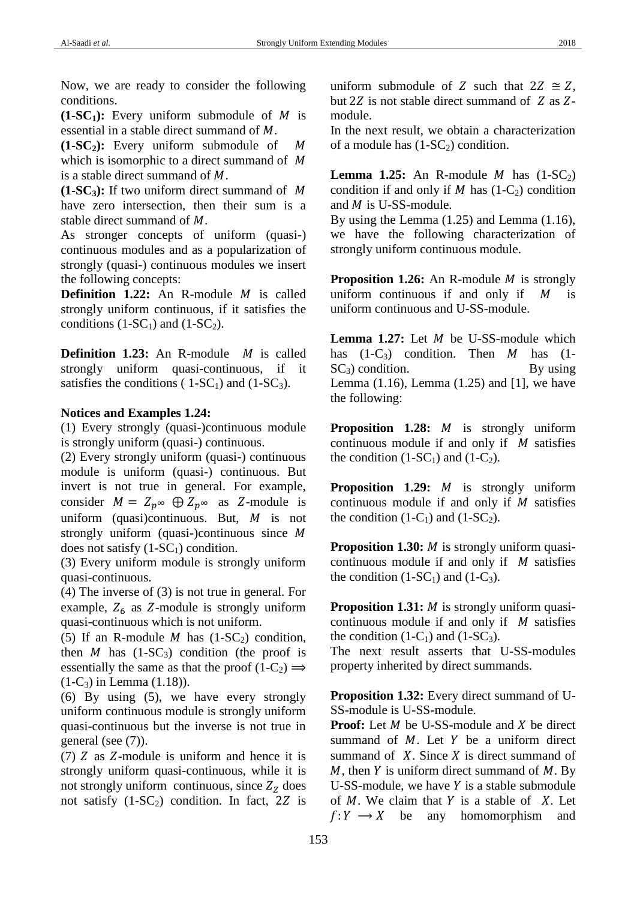Now, we are ready to consider the following conditions.

 $(1-SC_1)$ : Every uniform submodule of M is essential in a stable direct summand of  $M$ .

**(1-SC2):** Every uniform submodule of which is isomorphic to a direct summand of M is a stable direct summand of  $M$ .

**(1-SC3):** If two uniform direct summand of have zero intersection, then their sum is a stable direct summand of  $M$ .

As stronger concepts of uniform (quasi-) continuous modules and as a popularization of strongly (quasi-) continuous modules we insert the following concepts:

**Definition 1.22:** An R-module *M* is called strongly uniform continuous, if it satisfies the conditions  $(1-SC_1)$  and  $(1-SC_2)$ .

**Definition 1.23:** An R-module *M* is called strongly uniform quasi-continuous, if it satisfies the conditions (  $1-SC_1$ ) and ( $1-SC_3$ ).

### **Notices and Examples 1.24:**

(1) Every strongly (quasi-)continuous module is strongly uniform (quasi-) continuous.

(2) Every strongly uniform (quasi-) continuous module is uniform (quasi-) continuous. But invert is not true in general. For example, consider  $M = Z_p \infty \oplus Z_p \infty$  as Z-module is uniform (quasi)continuous. But,  $M$  is not strongly uniform (quasi-)continuous since  $M$ does not satisfy  $(1-SC_1)$  condition.

(3) Every uniform module is strongly uniform quasi-continuous.

(4) The inverse of (3) is not true in general. For example,  $Z_6$  as Z-module is strongly uniform quasi-continuous which is not uniform.

(5) If an R-module  $M$  has  $(1-SC_2)$  condition, then  $M$  has  $(1-SC_3)$  condition (the proof is essentially the same as that the proof  $(1-C_2) \implies$  $(1-C_3)$  in Lemma  $(1.18)$ ).

(6) By using (5), we have every strongly uniform continuous module is strongly uniform quasi-continuous but the inverse is not true in general (see (7)).

(7)  $Z$  as  $Z$ -module is uniform and hence it is strongly uniform quasi-continuous, while it is not strongly uniform continuous, since  $Z<sub>Z</sub>$  does not satisfy  $(1-SC_2)$  condition. In fact, 2Z is

uniform submodule of Z such that  $2Z \cong Z$ , but 2 $Z$  is not stable direct summand of  $Z$  as  $Z$ module.

In the next result, we obtain a characterization of a module has  $(1-SC_2)$  condition.

**Lemma 1.25:** An R-module *M* has  $(1-SC_2)$ condition if and only if  $M$  has  $(1-C_2)$  condition and  $M$  is U-SS-module.

By using the Lemma (1.25) and Lemma (1.16), we have the following characterization of strongly uniform continuous module.

**Proposition 1.26:** An R-module *M* is strongly uniform continuous if and only if  $M$  is uniform continuous and U-SS-module.

**Lemma 1.27:** Let  $M$  be U-SS-module which has  $(1-C_3)$  condition. Then M has  $(1 SC_3$ ) condition. By using Lemma  $(1.16)$ , Lemma  $(1.25)$  and  $[1]$ , we have the following:

**Proposition 1.28:** *M* is strongly uniform continuous module if and only if  $M$  satisfies the condition  $(1-SC_1)$  and  $(1-C_2)$ .

**Proposition 1.29:** *M* is strongly uniform continuous module if and only if  $M$  satisfies the condition  $(1-C_1)$  and  $(1-SC_2)$ .

**Proposition 1.30:** *M* is strongly uniform quasicontinuous module if and only if  $M$  satisfies the condition  $(1-SC_1)$  and  $(1-C_3)$ .

**Proposition 1.31:** *M* is strongly uniform quasicontinuous module if and only if  $M$  satisfies the condition  $(1-C_1)$  and  $(1-SC_3)$ .

The next result asserts that U-SS-modules property inherited by direct summands.

**Proposition 1.32:** Every direct summand of U-SS-module is U-SS-module.

**Proof:** Let  $M$  be U-SS-module and  $X$  be direct summand of  $M$ . Let  $Y$  be a uniform direct summand of  $X$ . Since  $X$  is direct summand of  $M$ , then Y is uniform direct summand of  $M$ . By U-SS-module, we have  $Y$  is a stable submodule of  $M$ . We claim that  $Y$  is a stable of  $X$ . Let  $f: Y \longrightarrow X$  be any homomorphism and